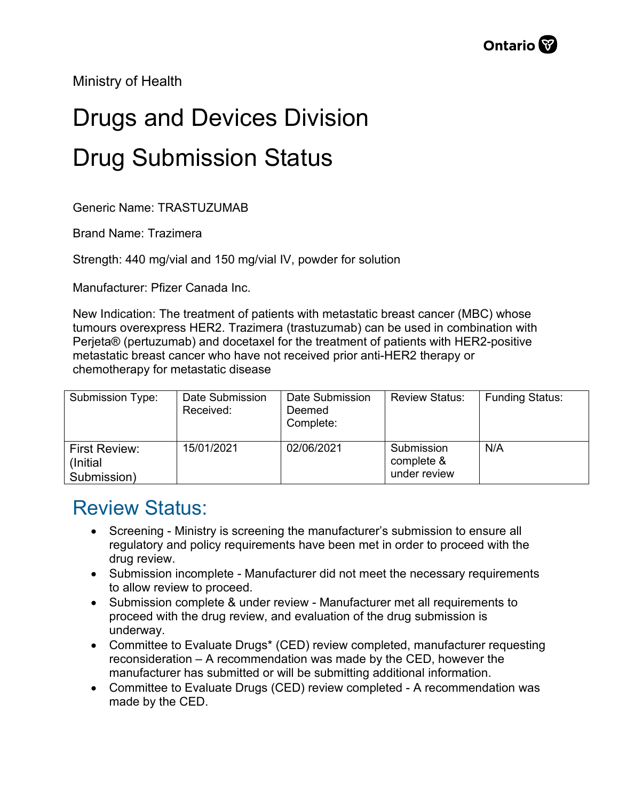Ministry of Health

## Drugs and Devices Division Drug Submission Status

Generic Name: TRASTUZUMAB

Brand Name: Trazimera

Strength: 440 mg/vial and 150 mg/vial IV, powder for solution

Manufacturer: Pfizer Canada Inc.

New Indication: The treatment of patients with metastatic breast cancer (MBC) whose tumours overexpress HER2. Trazimera (trastuzumab) can be used in combination with Perjeta® (pertuzumab) and docetaxel for the treatment of patients with HER2-positive metastatic breast cancer who have not received prior anti-HER2 therapy or chemotherapy for metastatic disease

| Submission Type:                          | Date Submission<br>Received: | Date Submission<br>Deemed<br>Complete: | <b>Review Status:</b>                    | <b>Funding Status:</b> |
|-------------------------------------------|------------------------------|----------------------------------------|------------------------------------------|------------------------|
| First Review:<br>(Initial)<br>Submission) | 15/01/2021                   | 02/06/2021                             | Submission<br>complete &<br>under review | N/A                    |

## Review Status:

- Screening Ministry is screening the manufacturer's submission to ensure all regulatory and policy requirements have been met in order to proceed with the drug review.
- Submission incomplete Manufacturer did not meet the necessary requirements to allow review to proceed.
- Submission complete & under review Manufacturer met all requirements to proceed with the drug review, and evaluation of the drug submission is underway.
- Committee to Evaluate Drugs\* (CED) review completed, manufacturer requesting reconsideration – A recommendation was made by the CED, however the manufacturer has submitted or will be submitting additional information.
- Committee to Evaluate Drugs (CED) review completed A recommendation was made by the CED.